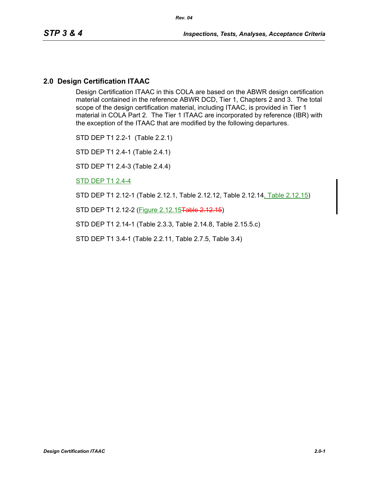## **2.0 Design Certification ITAAC**

Design Certification ITAAC in this COLA are based on the ABWR design certification material contained in the reference ABWR DCD, Tier 1, Chapters 2 and 3. The total scope of the design certification material, including ITAAC, is provided in Tier 1 material in COLA Part 2. The Tier 1 ITAAC are incorporated by reference (IBR) with the exception of the ITAAC that are modified by the following departures.

STD DEP T1 2.2-1 (Table 2.2.1)

STD DEP T1 2.4-1 (Table 2.4.1)

STD DEP T1 2.4-3 (Table 2.4.4)

STD DEP T1 2.4-4

STD DEP T1 2.12-1 (Table 2.12.1, Table 2.12.12, Table 2.12.14, Table 2.12.15)

STD DEP T1 2.12-2 (Figure 2.12.15Table 2.12.15)

STD DEP T1 2.14-1 (Table 2.3.3, Table 2.14.8, Table 2.15.5.c)

STD DEP T1 3.4-1 (Table 2.2.11, Table 2.7.5, Table 3.4)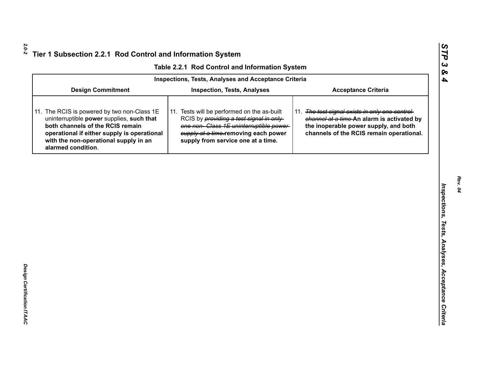|  |  | Table 2.2.1 Rod Control and Information System |  |
|--|--|------------------------------------------------|--|
|--|--|------------------------------------------------|--|

|                                                                                                                                                                                                                                            | Table 2.2.1 Rod Control and Information System                                                                                                                                                                         |                                                                                                                                                                                    |
|--------------------------------------------------------------------------------------------------------------------------------------------------------------------------------------------------------------------------------------------|------------------------------------------------------------------------------------------------------------------------------------------------------------------------------------------------------------------------|------------------------------------------------------------------------------------------------------------------------------------------------------------------------------------|
|                                                                                                                                                                                                                                            | <b>Inspections, Tests, Analyses and Acceptance Criteria</b>                                                                                                                                                            |                                                                                                                                                                                    |
| <b>Design Commitment</b>                                                                                                                                                                                                                   | <b>Inspection, Tests, Analyses</b>                                                                                                                                                                                     | <b>Acceptance Criteria</b>                                                                                                                                                         |
| 11. The RCIS is powered by two non-Class 1E<br>uninterruptible power supplies, such that<br>both channels of the RCIS remain<br>operational if either supply is operational<br>with the non-operational supply in an<br>alarmed condition. | 11. Tests will be performed on the as-built<br>RCIS by <i>providing a test signal in only</i><br>one non-Class 1E uninterruptible power-<br>supply at a time-removing each power<br>supply from service one at a time. | 11. The test signal exists in only one control-<br>channel at a time-An alarm is activated by<br>the inoperable power supply, and both<br>channels of the RCIS remain operational. |
|                                                                                                                                                                                                                                            |                                                                                                                                                                                                                        |                                                                                                                                                                                    |
|                                                                                                                                                                                                                                            |                                                                                                                                                                                                                        |                                                                                                                                                                                    |
|                                                                                                                                                                                                                                            |                                                                                                                                                                                                                        |                                                                                                                                                                                    |
|                                                                                                                                                                                                                                            |                                                                                                                                                                                                                        |                                                                                                                                                                                    |
|                                                                                                                                                                                                                                            |                                                                                                                                                                                                                        |                                                                                                                                                                                    |
|                                                                                                                                                                                                                                            |                                                                                                                                                                                                                        |                                                                                                                                                                                    |
|                                                                                                                                                                                                                                            |                                                                                                                                                                                                                        |                                                                                                                                                                                    |
|                                                                                                                                                                                                                                            |                                                                                                                                                                                                                        |                                                                                                                                                                                    |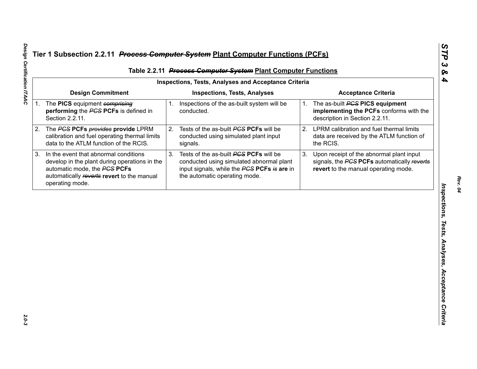| <b>Inspections, Tests, Analyses and Acceptance Criteria</b>                                                                                    |                                                                                                                 |                                                                                                                                                                    |                                                     | Table 2.2.11 Process Computer System Plant Computer Functions                                                                   |
|------------------------------------------------------------------------------------------------------------------------------------------------|-----------------------------------------------------------------------------------------------------------------|--------------------------------------------------------------------------------------------------------------------------------------------------------------------|-----------------------------------------------------|---------------------------------------------------------------------------------------------------------------------------------|
| <b>Design Commitment</b>                                                                                                                       |                                                                                                                 | <b>Inspections, Tests, Analyses</b>                                                                                                                                |                                                     | <b>Acceptance Criteria</b>                                                                                                      |
| performing the PCS PCFs is defined in<br>Section 2.2.11.                                                                                       |                                                                                                                 | conducted.                                                                                                                                                         | 1.                                                  | The as-built <b>PGS PICS equipment</b><br>implementing the PCFs conforms with the<br>description in Section 2.2.11.             |
| calibration and fuel operating thermal limits<br>data to the ATLM function of the RCIS.                                                        |                                                                                                                 | Tests of the as-built PCS PCFs will be<br>conducted using simulated plant input<br>signals.                                                                        | 2.                                                  | LPRM calibration and fuel thermal limits<br>data are received by the ATLM function of<br>the RCIS.                              |
| develop in the plant during operations in the<br>automatic mode, the PCS PCFs<br>automatically reverts revert to the manual<br>operating mode. | 3.                                                                                                              | Tests of the as-built PCS PCFs will be<br>conducted using simulated abnormal plant<br>input signals, while the PCS PCFs is are in<br>the automatic operating mode. | 3.                                                  | Upon receipt of the abnormal plant input<br>signals, the PCS PCFs automatically reverts<br>revert to the manual operating mode. |
|                                                                                                                                                |                                                                                                                 |                                                                                                                                                                    |                                                     |                                                                                                                                 |
|                                                                                                                                                |                                                                                                                 |                                                                                                                                                                    |                                                     |                                                                                                                                 |
|                                                                                                                                                |                                                                                                                 |                                                                                                                                                                    |                                                     |                                                                                                                                 |
|                                                                                                                                                |                                                                                                                 |                                                                                                                                                                    |                                                     |                                                                                                                                 |
|                                                                                                                                                |                                                                                                                 |                                                                                                                                                                    |                                                     |                                                                                                                                 |
|                                                                                                                                                | 1. The PICS equipment comprising<br>The PCS PCFs provides provide LPRM<br>In the event that abnormal conditions |                                                                                                                                                                    | 1. Inspections of the as-built system will be<br>2. |                                                                                                                                 |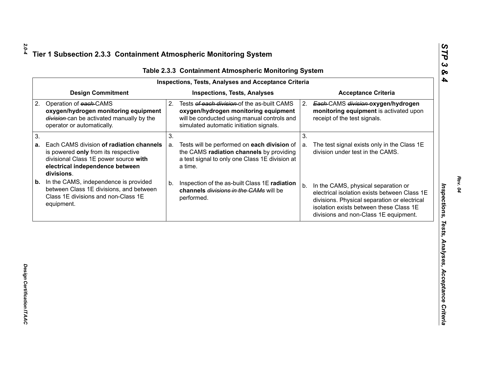| <b>Design Commitment</b><br><b>Inspections, Tests, Analyses</b><br><b>Acceptance Criteria</b><br>Operation of each-CAMS<br>Tests of each division of the as-built CAMS<br>2.<br>Each-CAMS division-oxygen/hydrogen<br>2.<br>oxygen/hydrogen monitoring equipment<br>oxygen/hydrogen monitoring equipment<br>monitoring equipment is activated upon<br>division-can be activated manually by the<br>will be conducted using manual controls and<br>receipt of the test signals.<br>simulated automatic initiation signals.<br>operator or automatically.<br>3.<br>3.<br>Each CAMS division of radiation channels<br>Tests will be performed on each division of<br>The test signal exists only in the Class 1E<br>a.<br>a.<br>the CAMS radiation channels by providing<br>division under test in the CAMS.<br>is powered only from its respective<br>a test signal to only one Class 1E division at<br>divisional Class 1E power source with |  |
|---------------------------------------------------------------------------------------------------------------------------------------------------------------------------------------------------------------------------------------------------------------------------------------------------------------------------------------------------------------------------------------------------------------------------------------------------------------------------------------------------------------------------------------------------------------------------------------------------------------------------------------------------------------------------------------------------------------------------------------------------------------------------------------------------------------------------------------------------------------------------------------------------------------------------------------------|--|
| 2.                                                                                                                                                                                                                                                                                                                                                                                                                                                                                                                                                                                                                                                                                                                                                                                                                                                                                                                                          |  |
| 3.<br>а.                                                                                                                                                                                                                                                                                                                                                                                                                                                                                                                                                                                                                                                                                                                                                                                                                                                                                                                                    |  |
|                                                                                                                                                                                                                                                                                                                                                                                                                                                                                                                                                                                                                                                                                                                                                                                                                                                                                                                                             |  |
| electrical independence between<br>a time.<br>divisions.                                                                                                                                                                                                                                                                                                                                                                                                                                                                                                                                                                                                                                                                                                                                                                                                                                                                                    |  |
| In the CAMS, independence is provided<br>b.<br>Inspection of the as-built Class 1E radiation<br>b.<br>In the CAMS, physical separation or<br>b.<br>between Class 1E divisions, and between<br>channels divisions in the CAMs will be<br>electrical isolation exists between Class 1E<br>Class 1E divisions and non-Class 1E<br>performed.<br>divisions. Physical separation or electrical<br>equipment.<br>isolation exists between these Class 1E<br>divisions and non-Class 1E equipment.                                                                                                                                                                                                                                                                                                                                                                                                                                                 |  |

Design Certification ITAAC *Design Certification ITAAC* 

*Rev. 04*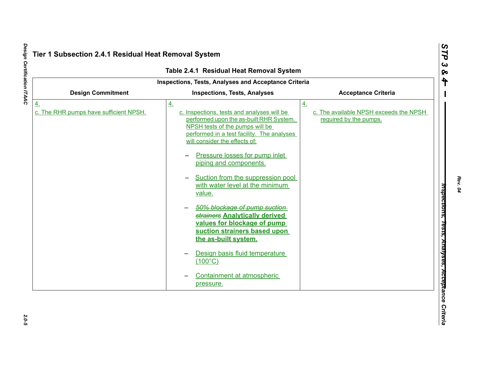|                                                             | Table 2.4.1 Residual Heat Removal System                                                                                                                                                                                                                                                                                                                                                                                                                                                                              |                                                                        |
|-------------------------------------------------------------|-----------------------------------------------------------------------------------------------------------------------------------------------------------------------------------------------------------------------------------------------------------------------------------------------------------------------------------------------------------------------------------------------------------------------------------------------------------------------------------------------------------------------|------------------------------------------------------------------------|
|                                                             | Inspections, Tests, Analyses and Acceptance Criteria                                                                                                                                                                                                                                                                                                                                                                                                                                                                  |                                                                        |
| <b>Design Commitment</b>                                    | <b>Inspections, Tests, Analyses</b>                                                                                                                                                                                                                                                                                                                                                                                                                                                                                   | <b>Acceptance Criteria</b>                                             |
| $\underline{4}$ .<br>c. The RHR pumps have sufficient NPSH. | 4.<br>c. Inspections, tests and analyses will be<br>performed upon the as-built RHR System.<br>NPSH tests of the pumps will be<br>performed in a test facility. The analyses<br>will consider the effects of:<br>Pressure losses for pump inlet<br>piping and components.<br>Suction from the suppression pool<br>with water level at the minimum<br>value.<br>50% blockage of pump suction-<br>strainers Analytically derived<br>values for blockage of pump<br>suction strainers based upon<br>the as-built system. | 4.<br>c. The available NPSH exceeds the NPSH<br>required by the pumps. |
|                                                             | Design basis fluid temperature<br>$(100^{\circ}C)$<br>Containment at atmospheric<br>pressure.                                                                                                                                                                                                                                                                                                                                                                                                                         |                                                                        |

*Rev. 04*

 $2.0 - 5$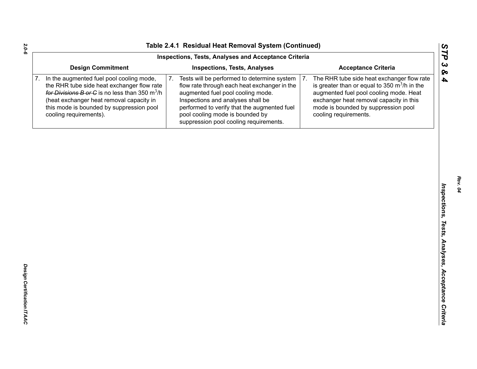|    |                                                                                                                                                                                                                                                                                | Inspections, Tests, Analyses and Acceptance Criteria                                                                                                                                                                                                                                                    |                                                                                                                                                                                                                                                                   |
|----|--------------------------------------------------------------------------------------------------------------------------------------------------------------------------------------------------------------------------------------------------------------------------------|---------------------------------------------------------------------------------------------------------------------------------------------------------------------------------------------------------------------------------------------------------------------------------------------------------|-------------------------------------------------------------------------------------------------------------------------------------------------------------------------------------------------------------------------------------------------------------------|
|    | <b>Design Commitment</b>                                                                                                                                                                                                                                                       | <b>Inspections, Tests, Analyses</b>                                                                                                                                                                                                                                                                     | <b>Acceptance Criteria</b>                                                                                                                                                                                                                                        |
| 7. | In the augmented fuel pool cooling mode,<br>the RHR tube side heat exchanger flow rate<br>for Divisions B or C is no less than 350 $\mathrm{m}^3/\mathrm{h}$<br>(heat exchanger heat removal capacity in<br>this mode is bounded by suppression pool<br>cooling requirements). | 7.<br>Tests will be performed to determine system<br>flow rate through each heat exchanger in the<br>augmented fuel pool cooling mode.<br>Inspections and analyses shall be<br>performed to verify that the augmented fuel<br>pool cooling mode is bounded by<br>suppression pool cooling requirements. | 7.<br>The RHR tube side heat exchanger flow rate<br>is greater than or equal to 350 $\mathrm{m}^3$ /h in the<br>augmented fuel pool cooling mode. Heat<br>exchanger heat removal capacity in this<br>mode is bounded by suppression pool<br>cooling requirements. |
|    |                                                                                                                                                                                                                                                                                |                                                                                                                                                                                                                                                                                                         |                                                                                                                                                                                                                                                                   |
|    |                                                                                                                                                                                                                                                                                |                                                                                                                                                                                                                                                                                                         |                                                                                                                                                                                                                                                                   |
|    |                                                                                                                                                                                                                                                                                |                                                                                                                                                                                                                                                                                                         |                                                                                                                                                                                                                                                                   |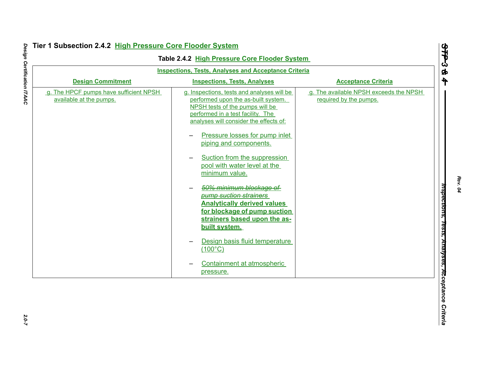|                                                                   | <b>Inspections, Tests, Analyses and Acceptance Criteria</b>                                                                                                                                                                                                                                                                                                                                                                                                                                                                                                                                                                           |                                                                  |
|-------------------------------------------------------------------|---------------------------------------------------------------------------------------------------------------------------------------------------------------------------------------------------------------------------------------------------------------------------------------------------------------------------------------------------------------------------------------------------------------------------------------------------------------------------------------------------------------------------------------------------------------------------------------------------------------------------------------|------------------------------------------------------------------|
| <b>Design Commitment</b>                                          | <b>Inspections, Tests, Analyses</b>                                                                                                                                                                                                                                                                                                                                                                                                                                                                                                                                                                                                   | <b>Acceptance Criteria</b>                                       |
| g. The HPCF pumps have sufficient NPSH<br>available at the pumps. | g. Inspections, tests and analyses will be<br>performed upon the as-built system.<br>NPSH tests of the pumps will be<br>performed in a test facility. The<br>analyses will consider the effects of:<br>Pressure losses for pump inlet<br>piping and components.<br>Suction from the suppression<br>pool with water level at the<br>minimum value.<br>50% minimum blockage of<br><b>bump suction strainers</b><br><b>Analytically derived values</b><br>for blockage of pump suction<br>strainers based upon the as-<br>built system.<br>Design basis fluid temperature<br>$(100^{\circ}C)$<br>Containment at atmospheric<br>pressure. | g. The available NPSH exceeds the NPSH<br>required by the pumps. |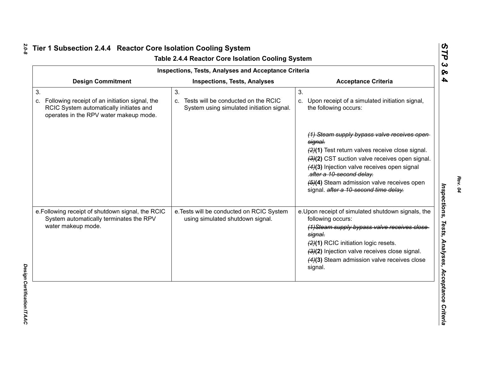|                                                                                                                                                 | Inspections, Tests, Analyses and Acceptance Criteria                                         |                                                                                                                                                                                                                                                                                                                                  |
|-------------------------------------------------------------------------------------------------------------------------------------------------|----------------------------------------------------------------------------------------------|----------------------------------------------------------------------------------------------------------------------------------------------------------------------------------------------------------------------------------------------------------------------------------------------------------------------------------|
| <b>Design Commitment</b>                                                                                                                        | <b>Inspections, Tests, Analyses</b>                                                          | <b>Acceptance Criteria</b>                                                                                                                                                                                                                                                                                                       |
| 3.<br>Following receipt of an initiation signal, the<br>C.<br>RCIC System automatically initiates and<br>operates in the RPV water makeup mode. | 3.<br>Tests will be conducted on the RCIC<br>C.<br>System using simulated initiation signal. | 3.<br>Upon receipt of a simulated initiation signal,<br>C.<br>the following occurs:                                                                                                                                                                                                                                              |
|                                                                                                                                                 |                                                                                              | (1) Steam supply bypass valve receives open<br>signal.<br>$(2)(1)$ Test return valves receive close signal.<br>(3)(2) CST suction valve receives open signal.<br>(4)(3) Injection valve receives open signal<br>.after a 10-second delay.<br>(5)(4) Steam admission valve receives open<br>signal. after a 10-second time delay. |
| e. Following receipt of shutdown signal, the RCIC<br>System automatically terminates the RPV<br>water makeup mode.                              | e. Tests will be conducted on RCIC System<br>using simulated shutdown signal.                | e. Upon receipt of simulated shutdown signals, the<br>following occurs:<br>(1) Steam supply bypass valve receives close<br>signal.<br>(2)(1) RCIC initiation logic resets.<br>(3)(2) Injection valve receives close signal.<br>$(4)(3)$ Steam admission valve receives close<br>signal.                                          |

*Rev. 04*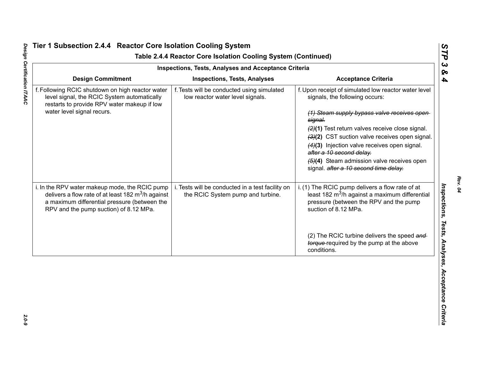|                                                                                                                                                                                                          | <b>Inspections, Tests, Analyses and Acceptance Criteria</b>                           |                                                                                                                                                                                                                                                                                                                                                                                                                                    |
|----------------------------------------------------------------------------------------------------------------------------------------------------------------------------------------------------------|---------------------------------------------------------------------------------------|------------------------------------------------------------------------------------------------------------------------------------------------------------------------------------------------------------------------------------------------------------------------------------------------------------------------------------------------------------------------------------------------------------------------------------|
| <b>Design Commitment</b>                                                                                                                                                                                 | <b>Inspections, Tests, Analyses</b>                                                   | <b>Acceptance Criteria</b>                                                                                                                                                                                                                                                                                                                                                                                                         |
| f. Following RCIC shutdown on high reactor water<br>level signal, the RCIC System automatically<br>restarts to provide RPV water makeup if low<br>water level signal recurs.                             | f. Tests will be conducted using simulated<br>low reactor water level signals.        | f. Upon receipt of simulated low reactor water level<br>signals, the following occurs:<br>(1) Steam supply bypass valve receives open<br>signal.<br>(2)(1) Test return valves receive close signal.<br>(3)(2) CST suction valve receives open signal.<br>(4)(3) Injection valve receives open signal.<br>after a 10 second delay.<br>$\left(4\right)$ Steam admission valve receives open<br>signal. after a 10 second time delay. |
| i. In the RPV water makeup mode, the RCIC pump<br>delivers a flow rate of at least 182 $\text{m}^3$ /h against<br>a maximum differential pressure (between the<br>RPV and the pump suction) of 8.12 MPa. | i. Tests will be conducted in a test facility on<br>the RCIC System pump and turbine. | i. (1) The RCIC pump delivers a flow rate of at<br>least 182 m <sup>3</sup> /h against a maximum differential<br>pressure (between the RPV and the pump<br>suction of 8.12 MPa.                                                                                                                                                                                                                                                    |
|                                                                                                                                                                                                          |                                                                                       | (2) The RCIC turbine delivers the speed and<br>torque-required by the pump at the above<br>conditions.                                                                                                                                                                                                                                                                                                                             |

# Design Certification ITAAC *Design Certification ITAAC 2.0-9*

*Rev. 04*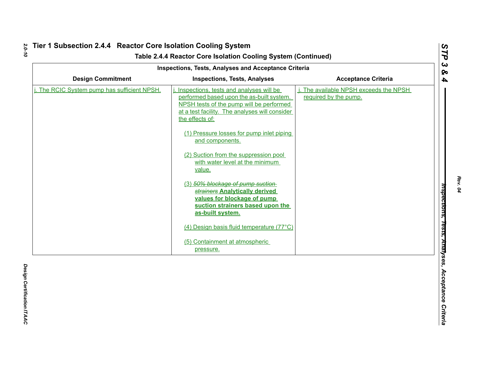|                                           | Inspections, Tests, Analyses and Acceptance Criteria                                                                                                                                                                                                                                                                                                                                                                                                                                                                                                                                                                 |                                                              |
|-------------------------------------------|----------------------------------------------------------------------------------------------------------------------------------------------------------------------------------------------------------------------------------------------------------------------------------------------------------------------------------------------------------------------------------------------------------------------------------------------------------------------------------------------------------------------------------------------------------------------------------------------------------------------|--------------------------------------------------------------|
| <b>Design Commitment</b>                  | <b>Inspections, Tests, Analyses</b>                                                                                                                                                                                                                                                                                                                                                                                                                                                                                                                                                                                  | <b>Acceptance Criteria</b>                                   |
| The RCIC System pump has sufficient NPSH. | Inspections, tests and analyses will be<br>performed based upon the as-built system.<br>NPSH tests of the pump will be performed<br>at a test facility. The analyses will consider<br>the effects of:<br>(1) Pressure losses for pump inlet piping<br>and components.<br>(2) Suction from the suppression pool<br>with water level at the minimum<br>value.<br>(3) 50% blockage of pump suction<br>strainers Analytically derived<br>values for blockage of pump<br>suction strainers based upon the<br>as-built system.<br>(4) Design basis fluid temperature (77°C)<br>(5) Containment at atmospheric<br>pressure. | The available NPSH exceeds the NPSH<br>required by the pump. |

*Rev. 04*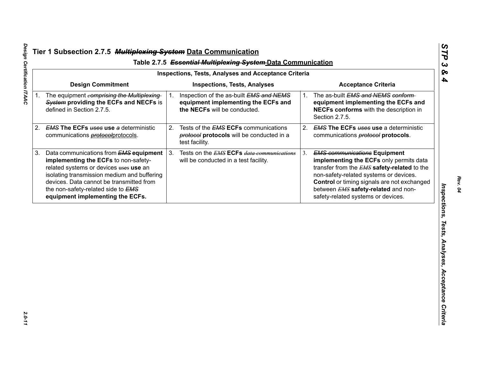| <b>Design Commitment</b><br><b>Acceptance Criteria</b><br><b>Inspections, Tests, Analyses</b><br>The as-built EMS and NEMS conform-<br>The equipment comprising the Multiplexing<br>Inspection of the as-built EMS and NEMS<br>1.<br>$1_{-}$<br>System providing the ECFs and NECFs is<br>equipment implementing the ECFs and<br>equipment implementing the ECFs and<br>the NECFs will be conducted.<br>NECFs conforms with the description in<br>defined in Section 2.7.5.<br>Section 2.7.5.<br><b>EMS The ECFs uses use a deterministic</b><br>2.<br>Tests of the <b>EMS ECFs</b> communications<br>2.<br><b>EMS The ECFs uses use a deterministic</b><br>protocol protocols will be conducted in a<br>communications <b>protocol</b> protocols.<br>communications <i>protocol</i> protocols. |  |
|-------------------------------------------------------------------------------------------------------------------------------------------------------------------------------------------------------------------------------------------------------------------------------------------------------------------------------------------------------------------------------------------------------------------------------------------------------------------------------------------------------------------------------------------------------------------------------------------------------------------------------------------------------------------------------------------------------------------------------------------------------------------------------------------------|--|
| 1.                                                                                                                                                                                                                                                                                                                                                                                                                                                                                                                                                                                                                                                                                                                                                                                              |  |
| 2.                                                                                                                                                                                                                                                                                                                                                                                                                                                                                                                                                                                                                                                                                                                                                                                              |  |
| test facility.                                                                                                                                                                                                                                                                                                                                                                                                                                                                                                                                                                                                                                                                                                                                                                                  |  |
| Tests on the <b>EMS ECFs</b> data communications<br>Data communications from <b>EMS equipment</b><br>3.<br>3.<br><b>EMS communications Equipment</b><br>3.<br>implementing the ECFs to non-safety-<br>implementing the ECFs only permits data<br>will be conducted in a test facility.<br>related systems or devices uses use an<br>transfer from the EMS safety-related to the<br>isolating transmission medium and buffering<br>non-safety-related systems or devices.<br>devices. Data cannot be transmitted from<br>Control or timing signals are not exchanged<br>between EMS safety-related and non-<br>the non-safety-related side to EMS<br>equipment implementing the ECFs.<br>safety-related systems or devices.                                                                      |  |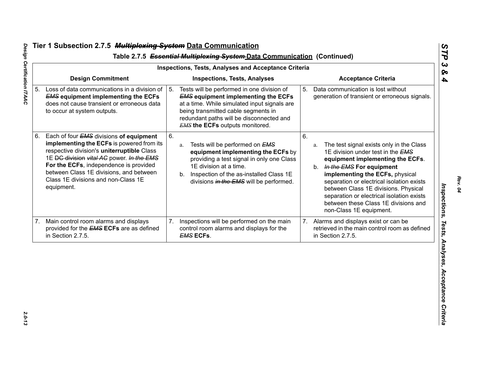| <b>Inspections, Tests, Analyses and Acceptance Criteria</b> |                                                                                                                                                                                                                                                                                                                                  |    |                                                                                                                                                                                                                                                                       |    |                                                                                                                                                                                                                                                                                                                                                                                                   |
|-------------------------------------------------------------|----------------------------------------------------------------------------------------------------------------------------------------------------------------------------------------------------------------------------------------------------------------------------------------------------------------------------------|----|-----------------------------------------------------------------------------------------------------------------------------------------------------------------------------------------------------------------------------------------------------------------------|----|---------------------------------------------------------------------------------------------------------------------------------------------------------------------------------------------------------------------------------------------------------------------------------------------------------------------------------------------------------------------------------------------------|
|                                                             | <b>Design Commitment</b>                                                                                                                                                                                                                                                                                                         |    | <b>Inspections, Tests, Analyses</b>                                                                                                                                                                                                                                   |    | <b>Acceptance Criteria</b>                                                                                                                                                                                                                                                                                                                                                                        |
| 5.                                                          | Loss of data communications in a division of<br><b>EMS equipment implementing the ECFs</b><br>does not cause transient or erroneous data<br>to occur at system outputs.                                                                                                                                                          | 5. | Tests will be performed in one division of<br><b>EMS equipment implementing the ECFs</b><br>at a time. While simulated input signals are<br>being transmitted cable segments in<br>redundant paths will be disconnected and<br><b>EMS the ECFs outputs monitored.</b> | 5. | Data communication is lost without<br>generation of transient or erroneous signals.                                                                                                                                                                                                                                                                                                               |
| 6.                                                          | Each of four <b>EMS</b> divisions of equipment<br>implementing the ECFs is powered from its<br>respective division's uniterruptible Class<br>1E DC division vital AC power. In the EMS<br>For the ECFs, independence is provided<br>between Class 1E divisions, and between<br>Class 1E divisions and non-Class 1E<br>equipment. | 6. | Tests will be performed on <b>EMS</b><br>a.<br>equipment implementing the ECFs by<br>providing a test signal in only one Class<br>1E division at a time.<br>Inspection of the as-installed Class 1E<br>b.<br>divisions in the EMS will be performed.                  | 6. | The test signal exists only in the Class<br>a.<br>1E division under test in the EMS<br>equipment implementing the ECFs.<br>In the EMS For equipment<br>b.<br>implementing the ECFs, physical<br>separation or electrical isolation exists<br>between Class 1E divisions. Physical<br>separation or electrical isolation exists<br>between these Class 1E divisions and<br>non-Class 1E equipment. |
| 7.                                                          | Main control room alarms and displays<br>provided for the <b>EMS ECFs</b> are as defined<br>in Section 2.7.5.                                                                                                                                                                                                                    | 7. | Inspections will be performed on the main<br>control room alarms and displays for the<br><b>EMS ECFs.</b>                                                                                                                                                             | 7. | Alarms and displays exist or can be<br>retrieved in the main control room as defined<br>in Section 2.7.5.                                                                                                                                                                                                                                                                                         |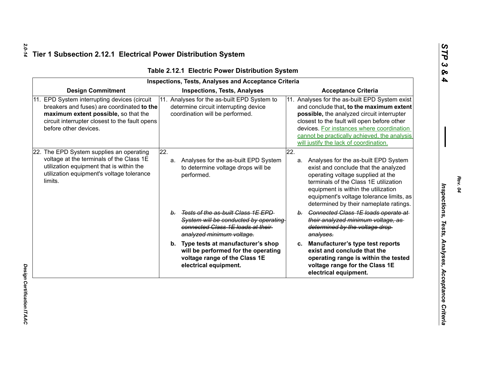| <b>Inspections, Tests, Analyses and Acceptance Criteria</b> |                                                                                                                                                                                                           |                                                                                                                                                  |     |    |                                                                                                                                                                                                                                                                                                                                |
|-------------------------------------------------------------|-----------------------------------------------------------------------------------------------------------------------------------------------------------------------------------------------------------|--------------------------------------------------------------------------------------------------------------------------------------------------|-----|----|--------------------------------------------------------------------------------------------------------------------------------------------------------------------------------------------------------------------------------------------------------------------------------------------------------------------------------|
|                                                             | <b>Design Commitment</b>                                                                                                                                                                                  | <b>Inspections, Tests, Analyses</b>                                                                                                              |     |    | <b>Acceptance Criteria</b>                                                                                                                                                                                                                                                                                                     |
| 11.                                                         | EPD System interrupting devices (circuit<br>breakers and fuses) are coordinated to the<br>maximum extent possible, so that the<br>circuit interrupter closest to the fault opens<br>before other devices. | Analyses for the as-built EPD System to<br>11.<br>determine circuit interrupting device<br>coordination will be performed.                       |     |    | 11. Analyses for the as-built EPD System exist<br>and conclude that, to the maximum extent<br>possible, the analyzed circuit interrupter<br>closest to the fault will open before other<br>devices. For instances where coordination<br>cannot be practically achieved, the analysis<br>will justify the lack of coordination. |
|                                                             | 22. The EPD System supplies an operating<br>voltage at the terminals of the Class 1E<br>utilization equipment that is within the<br>utilization equipment's voltage tolerance<br>limits.                  | 22.<br>Analyses for the as-built EPD System<br>а.<br>to determine voltage drops will be<br>performed.                                            | 22. |    | a. Analyses for the as-built EPD System<br>exist and conclude that the analyzed<br>operating voltage supplied at the<br>terminals of the Class 1E utilization<br>equipment is within the utilization<br>equipment's voltage tolerance limits, as<br>determined by their nameplate ratings.                                     |
|                                                             |                                                                                                                                                                                                           | b. Tests of the as-built Class 1E EPD<br>System will be conducted by operating<br>connected Class 1E loads at their<br>analyzed minimum voltage. |     |    | b. Connected Class 1E loads operate at<br>their analyzed minimum voltage, as-<br>determined by the voltage drop-<br>analyses.                                                                                                                                                                                                  |
|                                                             |                                                                                                                                                                                                           | b. Type tests at manufacturer's shop<br>will be performed for the operating<br>voltage range of the Class 1E<br>electrical equipment.            |     | c. | Manufacturer's type test reports<br>exist and conclude that the<br>operating range is within the tested<br>voltage range for the Class 1E<br>electrical equipment.                                                                                                                                                             |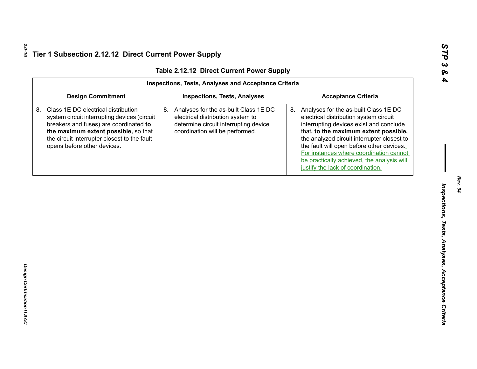| <b>Design Commitment</b><br><b>Inspections, Tests, Analyses</b><br>Class 1E DC electrical distribution<br>8. Analyses for the as-built Class 1E DC<br>system circuit interrupting devices (circuit<br>electrical distribution system to<br>breakers and fuses) are coordinated to<br>determine circuit interrupting device<br>the maximum extent possible, so that<br>coordination will be performed.<br>the circuit interrupter closest to the fault<br>opens before other devices. | <b>Acceptance Criteria</b><br>8.<br>Analyses for the as-built Class 1E DC<br>electrical distribution system circuit<br>interrupting devices exist and conclude<br>that, to the maximum extent possible,<br>the analyzed circuit interrupter closest to<br>the fault will open before other devices.<br>For instances where coordination cannot<br>be practically achieved, the analysis will<br>justify the lack of coordination. |
|--------------------------------------------------------------------------------------------------------------------------------------------------------------------------------------------------------------------------------------------------------------------------------------------------------------------------------------------------------------------------------------------------------------------------------------------------------------------------------------|-----------------------------------------------------------------------------------------------------------------------------------------------------------------------------------------------------------------------------------------------------------------------------------------------------------------------------------------------------------------------------------------------------------------------------------|
|                                                                                                                                                                                                                                                                                                                                                                                                                                                                                      |                                                                                                                                                                                                                                                                                                                                                                                                                                   |
|                                                                                                                                                                                                                                                                                                                                                                                                                                                                                      |                                                                                                                                                                                                                                                                                                                                                                                                                                   |
|                                                                                                                                                                                                                                                                                                                                                                                                                                                                                      |                                                                                                                                                                                                                                                                                                                                                                                                                                   |
|                                                                                                                                                                                                                                                                                                                                                                                                                                                                                      |                                                                                                                                                                                                                                                                                                                                                                                                                                   |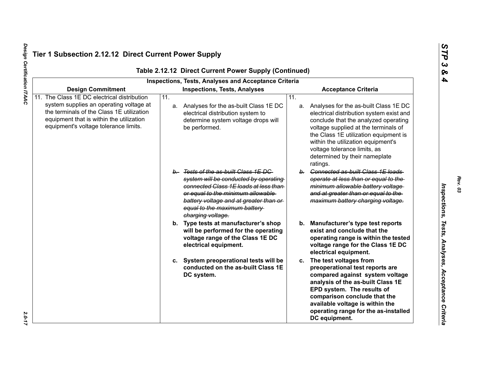|                                                                                                                                                                                                                          |                   | Table 2.12.12 Direct Current Power Supply (Continued)<br>Inspections, Tests, Analyses and Acceptance Criteria                                                                                                                                               |                   |                                                                                                                                                                                                                                                                                                                                  |
|--------------------------------------------------------------------------------------------------------------------------------------------------------------------------------------------------------------------------|-------------------|-------------------------------------------------------------------------------------------------------------------------------------------------------------------------------------------------------------------------------------------------------------|-------------------|----------------------------------------------------------------------------------------------------------------------------------------------------------------------------------------------------------------------------------------------------------------------------------------------------------------------------------|
| <b>Design Commitment</b>                                                                                                                                                                                                 |                   | <b>Inspections, Tests, Analyses</b>                                                                                                                                                                                                                         |                   | <b>Acceptance Criteria</b>                                                                                                                                                                                                                                                                                                       |
| 11. The Class 1E DC electrical distribution<br>system supplies an operating voltage at<br>the terminals of the Class 1E utilization<br>equipment that is within the utilization<br>equipment's voltage tolerance limits. | $\overline{11}$ . | a. Analyses for the as-built Class 1E DC<br>electrical distribution system to<br>determine system voltage drops will<br>be performed.                                                                                                                       | $\overline{11}$ . | a. Analyses for the as-built Class 1E DC<br>electrical distribution system exist and<br>conclude that the analyzed operating<br>voltage supplied at the terminals of<br>the Class 1E utilization equipment is<br>within the utilization equipment's<br>voltage tolerance limits, as<br>determined by their nameplate<br>ratings. |
|                                                                                                                                                                                                                          |                   | b. Tests of the as-built Class 1E DC<br>system will be conducted by operating<br>connected Class 1E loads at less than-<br>or equal to the minimum allowable<br>battery voltage and at greater than or<br>equal to the maximum battery<br>charging voltage. |                   | b. Connected as-built Class 1E loads<br>operate at less than or equal to the<br>minimum allowable battery voltage<br>and at greater than or equal to the<br>maximum battery charging voltage.                                                                                                                                    |
|                                                                                                                                                                                                                          |                   | b. Type tests at manufacturer's shop<br>will be performed for the operating<br>voltage range of the Class 1E DC<br>electrical equipment.                                                                                                                    |                   | b. Manufacturer's type test reports<br>exist and conclude that the<br>operating range is within the tested<br>voltage range for the Class 1E DC<br>electrical equipment.                                                                                                                                                         |
|                                                                                                                                                                                                                          |                   | c. System preoperational tests will be<br>conducted on the as-built Class 1E<br>DC system.                                                                                                                                                                  |                   | c. The test voltages from<br>preoperational test reports are<br>compared against system voltage<br>analysis of the as-built Class 1E<br>EPD system. The results of<br>comparison conclude that the<br>available voltage is within the<br>operating range for the as-installed<br>DC equipment.                                   |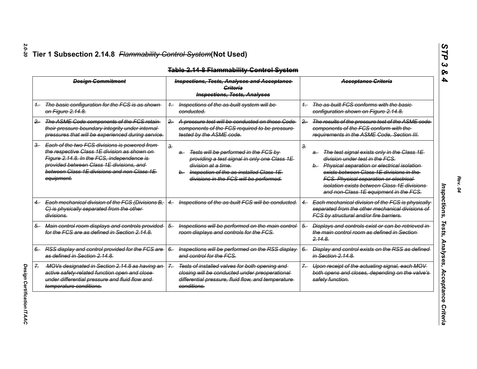|         | <b>Design Commitment</b>                                                                                                                                                                                                                                |       | <b>Inspections, Tests, Analyses and Acceptance-</b><br>Criteria<br><b>Inspections, Tests, Analyses</b>                                                                                                             |       | <b>Acceptance Criteria</b>                                                                                                                                                                                                                                                                                                    |
|---------|---------------------------------------------------------------------------------------------------------------------------------------------------------------------------------------------------------------------------------------------------------|-------|--------------------------------------------------------------------------------------------------------------------------------------------------------------------------------------------------------------------|-------|-------------------------------------------------------------------------------------------------------------------------------------------------------------------------------------------------------------------------------------------------------------------------------------------------------------------------------|
| $^{1-}$ | The basic configuration for the FCS is as shown<br>on Figure 2.14.8.                                                                                                                                                                                    |       | Inspections of the as-built system will be<br>conducted.                                                                                                                                                           | $1-$  | The as-built FCS conforms with the basic<br>configuration shown on Figure 2.14.8.                                                                                                                                                                                                                                             |
| $-$     | The ASME Code components of the FCS retain<br>their pressure boundary integrity under internal-<br>pressures that will be experienced during service.                                                                                                   | $2 -$ | A pressure test will be conducted on those Code<br>components of the FCS required to be pressure-<br>tested by the ASME code.                                                                                      | $2 -$ | The results of the pressure test of the ASME code<br>components of the FCS conform with the<br>requirements in the ASME Code, Section III.                                                                                                                                                                                    |
| $3-$    | Each of the two FCS divisions is powered from-<br>the respective Class 1E division as shown on-<br>Figure 2.14.8. In the FCS, independence is-<br>provided between Class 1E divisions, and<br>between Class 1E divisions and non-Class 1E<br>equipment. | З.    | Tests will be performed in the FCS by<br>$a-$<br>providing a test signal in only one Class 1E<br>division at a time.<br>Inspection of the as-installed Class 1E<br>$b-$<br>divisions in the FCS will be performed. | з.    | The test signal exists only in the Class 1E<br>a.<br>division under test in the FCS.<br>b. Physical separation or electrical isolation<br>exists between Class 1E divisions in the<br>FCS. Physical separation or electrical-<br><i>isolation exists between Class 1E divisions</i><br>and non-Class 1E equipment in the FCS. |
|         | Each mechanical division of the FCS (Divisions B,<br>C) is physically separated from the other-<br>divisions.                                                                                                                                           |       | Inspections of the as-built FCS will be conducted.                                                                                                                                                                 |       | Each mechanical division of the FCS is physically<br>separated from the other mechanical divisions of<br>FCS by structural and/or fire barriers.                                                                                                                                                                              |
| 5.      | Main control room displays and controls provided-<br>for the FCS are as defined in Section 2.14.8.                                                                                                                                                      | 5.    | Inspections will be performed on the main control-<br>room displays and controls for the FCS.                                                                                                                      | 5.    | Displays and controls exist or can be retrieved in<br>the main control room as defined in Section-<br>2.148                                                                                                                                                                                                                   |
| 6.      | RSS display and control provided for the FCS are<br>as defined in Section 2.14.8.                                                                                                                                                                       | $6-$  | Inspections will be performed on the RSS display<br>and control for the FCS.                                                                                                                                       | $6-$  | Display and control exists on the RSS as defined<br>in Section 2.14.8.                                                                                                                                                                                                                                                        |
| 7.      | MOVs designated in Section 2.14.8 as having an-<br>active safety-related function open and close<br>under differential pressure and fluid flow and<br>temperature conditions.                                                                           | $7 -$ | Tests of installed valves for both opening and<br>closing will be conducted under preoperational-<br>differential pressure, fluid flow, and temperature-<br><del>conditions.</del>                                 |       | Upon receipt of the actuating signal, each MOV<br>both opens and closes, depending on the valve's<br>safety function.                                                                                                                                                                                                         |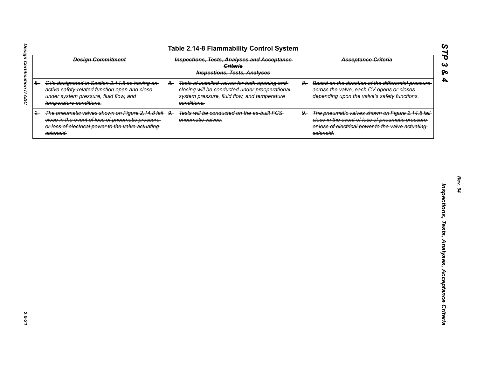| <b>Table 2.14-8 Flammability Control System</b> |                                                                                                                                                                                |                                                                                                                                                                           |                                                                                                                                                                                   |  |  |  |
|-------------------------------------------------|--------------------------------------------------------------------------------------------------------------------------------------------------------------------------------|---------------------------------------------------------------------------------------------------------------------------------------------------------------------------|-----------------------------------------------------------------------------------------------------------------------------------------------------------------------------------|--|--|--|
|                                                 | <b>Design Commitment</b>                                                                                                                                                       | <b>Inspections, Tests, Analyses and Acceptance</b><br><b>Criteria</b><br><b>Inspections, Tests, Analyses</b>                                                              | <b>Acceptance Griteria</b>                                                                                                                                                        |  |  |  |
| $8-$                                            | CVs designated in Section 2.14.8 as having an-<br>active safety-related function open and close-<br>under system pressure, fluid flow, and<br>temperature conditions.          | Tests of installed valves for both opening and<br>$8-$<br>closing will be conducted under preoperational-<br>system pressure, fluid flow, and temperature-<br>conditions. | Based on the direction of the differential pressure<br>$8-$<br>across the valve, each CV opens or closes<br>depending upon the valve's safety functions.                          |  |  |  |
| $9-$                                            | The pneumatic valves shown on Figure 2.14.8 fail   9.<br>close in the event of loss of pneumatic pressure-<br>or loss of electrical power to the valve actuating-<br>solenoid. | Tests will be conducted on the as-built FCS<br>pneumatic valves.                                                                                                          | The pneumatic valves shown on Figure 2.14.8 fail-<br>$9-$<br>close in the event of loss of pneumatic pressure-<br>or loss of electrical power to the valve actuating<br>solenoid. |  |  |  |
|                                                 |                                                                                                                                                                                |                                                                                                                                                                           |                                                                                                                                                                                   |  |  |  |
|                                                 |                                                                                                                                                                                |                                                                                                                                                                           |                                                                                                                                                                                   |  |  |  |
|                                                 |                                                                                                                                                                                |                                                                                                                                                                           |                                                                                                                                                                                   |  |  |  |
|                                                 |                                                                                                                                                                                |                                                                                                                                                                           |                                                                                                                                                                                   |  |  |  |
|                                                 |                                                                                                                                                                                |                                                                                                                                                                           |                                                                                                                                                                                   |  |  |  |
|                                                 |                                                                                                                                                                                |                                                                                                                                                                           |                                                                                                                                                                                   |  |  |  |
|                                                 |                                                                                                                                                                                |                                                                                                                                                                           |                                                                                                                                                                                   |  |  |  |
|                                                 |                                                                                                                                                                                |                                                                                                                                                                           |                                                                                                                                                                                   |  |  |  |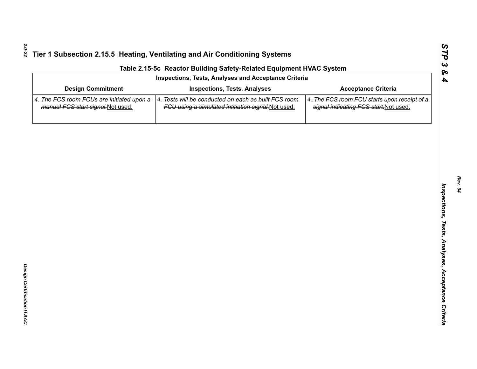| Inspections, Tests, Analyses and Acceptance Criteria                            |                                                                                                              |                                                                                        |  |  |  |  |
|---------------------------------------------------------------------------------|--------------------------------------------------------------------------------------------------------------|----------------------------------------------------------------------------------------|--|--|--|--|
| <b>Design Commitment</b>                                                        | <b>Inspections, Tests, Analyses</b>                                                                          | <b>Acceptance Criteria</b>                                                             |  |  |  |  |
| 4. The FCS room FCUs are initiated upon a<br>manual FCS start signal. Not used. | 4. Tests will be conducted on each as built FCS room-<br>FCU using a simulated intitiation signal. Not used. | 4. The FCS room FCU starts upon receipt of a<br>signal indicating FCS start. Not used. |  |  |  |  |
|                                                                                 |                                                                                                              |                                                                                        |  |  |  |  |
|                                                                                 |                                                                                                              |                                                                                        |  |  |  |  |
|                                                                                 |                                                                                                              |                                                                                        |  |  |  |  |
|                                                                                 |                                                                                                              |                                                                                        |  |  |  |  |
|                                                                                 |                                                                                                              |                                                                                        |  |  |  |  |
|                                                                                 |                                                                                                              |                                                                                        |  |  |  |  |
|                                                                                 |                                                                                                              |                                                                                        |  |  |  |  |
|                                                                                 |                                                                                                              |                                                                                        |  |  |  |  |
|                                                                                 |                                                                                                              |                                                                                        |  |  |  |  |
|                                                                                 |                                                                                                              |                                                                                        |  |  |  |  |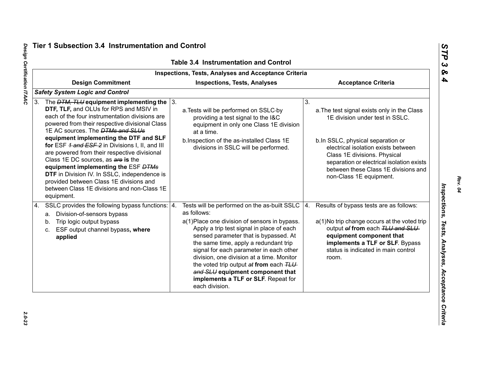|                                                                                                                                                                                                                                                                                                                                                                                                                                                                                                                                                                                                                                       | <b>Table 3.4 Instrumentation and Control</b><br><b>Inspections, Tests, Analyses and Acceptance Criteria</b>                                                                                                                                                                                                                                                                                                                                                                |                                                                                                                                                                                                                                                                                                                  |
|---------------------------------------------------------------------------------------------------------------------------------------------------------------------------------------------------------------------------------------------------------------------------------------------------------------------------------------------------------------------------------------------------------------------------------------------------------------------------------------------------------------------------------------------------------------------------------------------------------------------------------------|----------------------------------------------------------------------------------------------------------------------------------------------------------------------------------------------------------------------------------------------------------------------------------------------------------------------------------------------------------------------------------------------------------------------------------------------------------------------------|------------------------------------------------------------------------------------------------------------------------------------------------------------------------------------------------------------------------------------------------------------------------------------------------------------------|
| <b>Design Commitment</b>                                                                                                                                                                                                                                                                                                                                                                                                                                                                                                                                                                                                              | <b>Inspections, Tests, Analyses</b>                                                                                                                                                                                                                                                                                                                                                                                                                                        | <b>Acceptance Criteria</b>                                                                                                                                                                                                                                                                                       |
| <b>Safety System Logic and Control</b>                                                                                                                                                                                                                                                                                                                                                                                                                                                                                                                                                                                                |                                                                                                                                                                                                                                                                                                                                                                                                                                                                            |                                                                                                                                                                                                                                                                                                                  |
| 3. The $DTM$ , TLU equipment implementing the $\sqrt{3}$ .<br>DTF, TLF, and OLUs for RPS and MSIV in<br>each of the four instrumentation divisions are<br>powered from their respective divisional Class<br>1E AC sources. The <b>DTMs and SLUs</b><br>equipment implementing the DTF and SLF<br>for ESF 1 and ESF 2 in Divisions I, II, and III<br>are powered from their respective divisional<br>Class 1E DC sources, as are is the<br>equipment implementing the ESF DTMs<br>DTF in Division IV. In SSLC, independence is<br>provided between Class 1E divisions and<br>between Class 1E divisions and non-Class 1E<br>equipment. | a. Tests will be performed on SSLC-by<br>providing a test signal to the I&C<br>equipment in only one Class 1E division<br>at a time.<br>b.Inspection of the as-installed Class 1E<br>divisions in SSLC will be performed.                                                                                                                                                                                                                                                  | 3.<br>a. The test signal exists only in the Class<br>1E division under test in SSLC.<br>b.In SSLC, physical separation or<br>electrical isolation exists between<br>Class 1E divisions. Physical<br>separation or electrical isolation exists<br>between these Class 1E divisions and<br>non-Class 1E equipment. |
| SSLC provides the following bypass functions:   4.<br>4.<br>a. Division-of-sensors bypass<br>Trip logic output bypass<br>b.<br>ESF output channel bypass, where<br>C.<br>applied                                                                                                                                                                                                                                                                                                                                                                                                                                                      | Tests will be performed on the as-built SSLC<br>as follows:<br>a(1) Place one division of sensors in bypass.<br>Apply a trip test signal in place of each<br>sensed parameter that is bypassed. At<br>the same time, apply a redundant trip<br>signal for each parameter in each other<br>division, one division at a time. Monitor<br>the voted trip output at from each TLU<br>and SLU equipment component that<br>implements a TLF or SLF. Repeat for<br>each division. | Results of bypass tests are as follows:<br>4.<br>a(1) No trip change occurs at the voted trip<br>output of from each TLU and SLU<br>equipment component that<br>implements a TLF or SLF. Bypass<br>status is indicated in main control<br>room.                                                                  |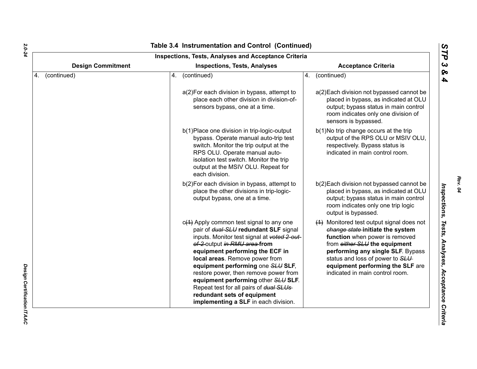|                          | <b>Inspections, Tests, Analyses and Acceptance Criteria</b>                                                                                                                                                                                                                                                                                                                                                                                                                    |                                                                                                                                                                                                                                                                                                 |  |  |
|--------------------------|--------------------------------------------------------------------------------------------------------------------------------------------------------------------------------------------------------------------------------------------------------------------------------------------------------------------------------------------------------------------------------------------------------------------------------------------------------------------------------|-------------------------------------------------------------------------------------------------------------------------------------------------------------------------------------------------------------------------------------------------------------------------------------------------|--|--|
| <b>Design Commitment</b> | <b>Inspections, Tests, Analyses</b>                                                                                                                                                                                                                                                                                                                                                                                                                                            | <b>Acceptance Criteria</b>                                                                                                                                                                                                                                                                      |  |  |
| 4. (continued)           | (continued)<br>4.                                                                                                                                                                                                                                                                                                                                                                                                                                                              | (continued)<br>4.                                                                                                                                                                                                                                                                               |  |  |
|                          | a(2) For each division in bypass, attempt to<br>place each other division in division-of-<br>sensors bypass, one at a time.                                                                                                                                                                                                                                                                                                                                                    | a(2) Each division not bypassed cannot be<br>placed in bypass, as indicated at OLU<br>output; bypass status in main control<br>room indicates only one division of<br>sensors is bypassed.                                                                                                      |  |  |
|                          | b(1) Place one division in trip-logic-output<br>bypass. Operate manual auto-trip test<br>switch. Monitor the trip output at the<br>RPS OLU. Operate manual auto-<br>isolation test switch. Monitor the trip<br>output at the MSIV OLU. Repeat for<br>each division.                                                                                                                                                                                                            | b(1)No trip change occurs at the trip<br>output of the RPS OLU or MSIV OLU,<br>respectively. Bypass status is<br>indicated in main control room.                                                                                                                                                |  |  |
|                          | b(2) For each division in bypass, attempt to<br>place the other divisions in trip-logic-<br>output bypass, one at a time.                                                                                                                                                                                                                                                                                                                                                      | b(2) Each division not bypassed cannot be<br>placed in bypass, as indicated at OLU<br>output; bypass status in main control<br>room indicates only one trip logic<br>output is bypassed.                                                                                                        |  |  |
|                          | $c(1)$ Apply common test signal to any one<br>pair of dual-SLU redundant SLF signal<br>inputs. Monitor test signal at voted 2-out-<br>of-2-output in RMU area-from<br>equipment performing the ECF in<br>local areas. Remove power from<br>equipment performing one SLU SLF,<br>restore power, then remove power from<br>equipment performing other SLU SLF.<br>Repeat test for all pairs of dual SLUs-<br>redundant sets of equipment<br>implementing a SLF in each division. | (1) Monitored test output signal does not<br>change state-initiate the system<br>function when power is removed<br>from either SLU the equipment<br>performing any single SLF. Bypass<br>status and loss of power to SLU<br>equipment performing the SLF are<br>indicated in main control room. |  |  |

*Design Certification ITAAC* 

Design Certification ITAAC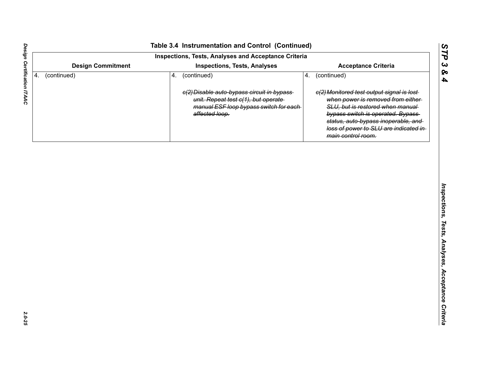|    | <b>Design Commitment</b> |    | Inspections, Tests, Analyses and Acceptance Criteria<br><b>Inspections, Tests, Analyses</b>       |    | <b>Acceptance Criteria</b>                                                                                                                                                   |  |
|----|--------------------------|----|---------------------------------------------------------------------------------------------------|----|------------------------------------------------------------------------------------------------------------------------------------------------------------------------------|--|
| 4. | (continued)              | 4. | (continued)<br>e(2) Disable auto-bypass circuit in bypass-<br>unit. Repeat test c(1), but operate | 4. | (continued)<br>e(2) Monitored test output signal is lost-<br>when power is removed from either-                                                                              |  |
|    |                          |    | manual ESF loop bypass switch for each-<br>affected loop.                                         |    | SLU, but is restored when manual<br>bypass switch is operated. Bypass<br>status, auto-bypass inoperable, and<br>loss of power to SLU are indicated in-<br>main control room. |  |
|    |                          |    |                                                                                                   |    |                                                                                                                                                                              |  |
|    |                          |    |                                                                                                   |    |                                                                                                                                                                              |  |
|    |                          |    |                                                                                                   |    |                                                                                                                                                                              |  |
|    |                          |    |                                                                                                   |    |                                                                                                                                                                              |  |
|    |                          |    |                                                                                                   |    |                                                                                                                                                                              |  |
|    |                          |    |                                                                                                   |    |                                                                                                                                                                              |  |
|    |                          |    |                                                                                                   |    |                                                                                                                                                                              |  |
|    |                          |    |                                                                                                   |    |                                                                                                                                                                              |  |
|    |                          |    |                                                                                                   |    |                                                                                                                                                                              |  |
|    |                          |    |                                                                                                   |    |                                                                                                                                                                              |  |
|    |                          |    |                                                                                                   |    |                                                                                                                                                                              |  |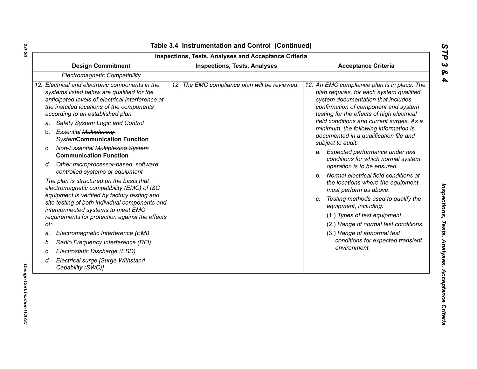|     | <b>Design Commitment</b>                                                                                                                                                                                                                                               | <b>Inspections, Tests, Analyses</b>           | <b>Acceptance Criteria</b>                                                                                                                                                                                                                                        |  |  |
|-----|------------------------------------------------------------------------------------------------------------------------------------------------------------------------------------------------------------------------------------------------------------------------|-----------------------------------------------|-------------------------------------------------------------------------------------------------------------------------------------------------------------------------------------------------------------------------------------------------------------------|--|--|
|     | Electromagnetic Compatibility                                                                                                                                                                                                                                          |                                               |                                                                                                                                                                                                                                                                   |  |  |
| a.  | 12. Electrical and electronic components in the<br>systems listed below are qualified for the<br>anticipated levels of electrical interference at<br>the installed locations of the components<br>according to an established plan:<br>Safety System Logic and Control | 12. The EMC compliance plan will be reviewed. | 12. An EMC compliance plan is in place. The<br>plan requires, for each system qualified,<br>system documentation that includes<br>confirmation of component and system<br>testing for the effects of high electrical<br>field conditions and current surges. As a |  |  |
| b.  | <b>Essential Multiplexing-</b><br><b>SystemCommunication Function</b>                                                                                                                                                                                                  |                                               | minimum, the following information is<br>documented in a qualification file and<br>subject to audit:                                                                                                                                                              |  |  |
|     | c. Non-Essential Multiplexing-System<br><b>Communication Function</b>                                                                                                                                                                                                  |                                               | a. Expected performance under test<br>conditions for which normal system                                                                                                                                                                                          |  |  |
|     | d. Other microprocessor-based, software<br>controlled systems or equipment                                                                                                                                                                                             |                                               | operation is to be ensured.                                                                                                                                                                                                                                       |  |  |
|     | The plan is structured on the basis that<br>electromagnetic compatibility (EMC) of I&C                                                                                                                                                                                 |                                               | b. Normal electrical field conditions at<br>the locations where the equipment<br>must perform as above.                                                                                                                                                           |  |  |
|     | equipment is verified by factory testing and<br>site testing of both individual components and<br>interconnected systems to meet EMC<br>requirements for protection against the effects                                                                                |                                               | Testing methods used to qualify the<br>C.<br>equipment, including:                                                                                                                                                                                                |  |  |
| of: |                                                                                                                                                                                                                                                                        |                                               | (1.) Types of test equipment.<br>(2.) Range of normal test conditions.                                                                                                                                                                                            |  |  |
| a.  | Electromagnetic Interference (EMI)                                                                                                                                                                                                                                     |                                               | (3.) Range of abnormal test                                                                                                                                                                                                                                       |  |  |
| b.  | Radio Frequency Interference (RFI)                                                                                                                                                                                                                                     |                                               | conditions for expected transient                                                                                                                                                                                                                                 |  |  |
| c.  | Electrostatic Discharge (ESD)                                                                                                                                                                                                                                          |                                               | environment.                                                                                                                                                                                                                                                      |  |  |
| d.  | <b>Electrical surge [Surge Withstand</b><br>Capability (SWC)]                                                                                                                                                                                                          |                                               |                                                                                                                                                                                                                                                                   |  |  |

*Design Certification ITAAC* 

Design Certification ITAAC